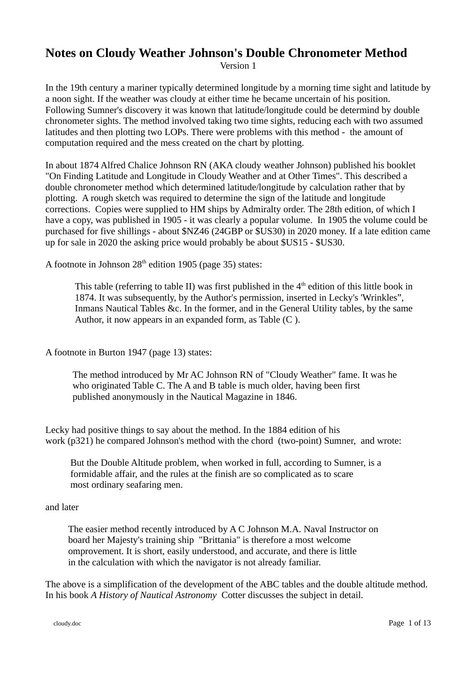### **Notes on Cloudy Weather Johnson's Double Chronometer Method**

Version 1

In the 19th century a mariner typically determined longitude by a morning time sight and latitude by a noon sight. If the weather was cloudy at either time he became uncertain of his position. Following Sumner's discovery it was known that latitude/longitude could be determind by double chronometer sights. The method involved taking two time sights, reducing each with two assumed latitudes and then plotting two LOPs. There were problems with this method - the amount of computation required and the mess created on the chart by plotting.

In about 1874 Alfred Chalice Johnson RN (AKA cloudy weather Johnson) published his booklet "On Finding Latitude and Longitude in Cloudy Weather and at Other Times". This described a double chronometer method which determined latitude/longitude by calculation rather that by plotting. A rough sketch was required to determine the sign of the latitude and longitude corrections. Copies were supplied to HM ships by Admiralty order. The 28th edition, of which I have a copy, was published in 1905 - it was clearly a popular volume. In 1905 the volume could be purchased for five shillings - about \$NZ46 (24GBP or \$US30) in 2020 money. If a late edition came up for sale in 2020 the asking price would probably be about \$US15 - \$US30.

A footnote in Johnson  $28<sup>th</sup>$  edition 1905 (page 35) states:

This table (referring to table II) was first published in the  $4<sup>th</sup>$  edition of this little book in 1874. It was subsequently, by the Author's permission, inserted in Lecky's 'Wrinkles", Inmans Nautical Tables &c. In the former, and in the General Utility tables, by the same Author, it now appears in an expanded form, as Table (C ).

A footnote in Burton 1947 (page 13) states:

The method introduced by Mr AC Johnson RN of "Cloudy Weather" fame. It was he who originated Table C. The A and B table is much older, having been first published anonymously in the Nautical Magazine in 1846.

Lecky had positive things to say about the method. In the 1884 edition of his work (p321) he compared Johnson's method with the chord (two-point) Sumner, and wrote:

But the Double Altitude problem, when worked in full, according to Sumner, is a formidable affair, and the rules at the finish are so complicated as to scare most ordinary seafaring men.

#### and later

The easier method recently introduced by A C Johnson M.A. Naval Instructor on board her Majesty's training ship "Brittania" is therefore a most welcome omprovement. It is short, easily understood, and accurate, and there is little in the calculation with which the navigator is not already familiar.

The above is a simplification of the development of the ABC tables and the double altitude method. In his book *A History of Nautical Astronomy* Cotter discusses the subject in detail.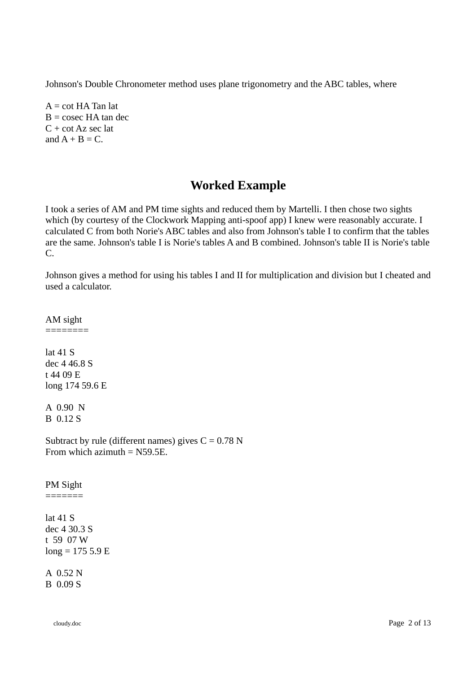Johnson's Double Chronometer method uses plane trigonometry and the ABC tables, where

 $A = \cot HA$  Tan lat  $B = \csc HA$  tan dec  $C$  + cot Az sec lat and  $A + B = C$ .

### **Worked Example**

I took a series of AM and PM time sights and reduced them by Martelli. I then chose two sights which (by courtesy of the Clockwork Mapping anti-spoof app) I knew were reasonably accurate. I calculated C from both Norie's ABC tables and also from Johnson's table I to confirm that the tables are the same. Johnson's table I is Norie's tables A and B combined. Johnson's table II is Norie's table C.

Johnson gives a method for using his tables I and II for multiplication and division but I cheated and used a calculator.

AM sight ========

lat 41 S dec 4 46.8 S t 44 09 E long 174 59.6 E

A 0.90 N B 0.12 S

Subtract by rule (different names) gives  $C = 0.78$  N From which azimuth = N59.5E.

PM Sight =======

lat 41 S dec 4 30.3 S t 59 07 W  $long = 1755.9 E$ A 0.52 N

B 0.09 S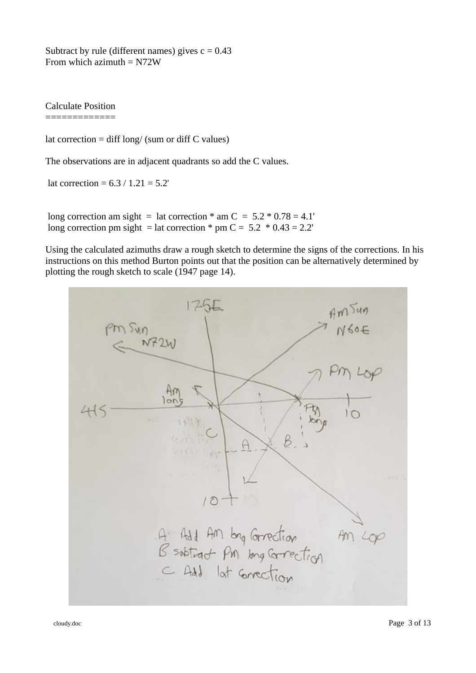Subtract by rule (different names) gives  $c = 0.43$ From which azimuth = N72W

Calculate Position =============

lat correction  $=$  diff long/ (sum or diff C values)

The observations are in adjacent quadrants so add the C values.

lat correction =  $6.3 / 1.21 = 5.2$ 

long correction am sight = lat correction  $*$  am C = 5.2  $*$  0.78 = 4.1' long correction pm sight = lat correction  $*$  pm C = 5.2  $*$  0.43 = 2.2'

Using the calculated azimuths draw a rough sketch to determine the signs of the corrections. In his instructions on this method Burton points out that the position can be alternatively determined by plotting the rough sketch to scale (1947 page 14).

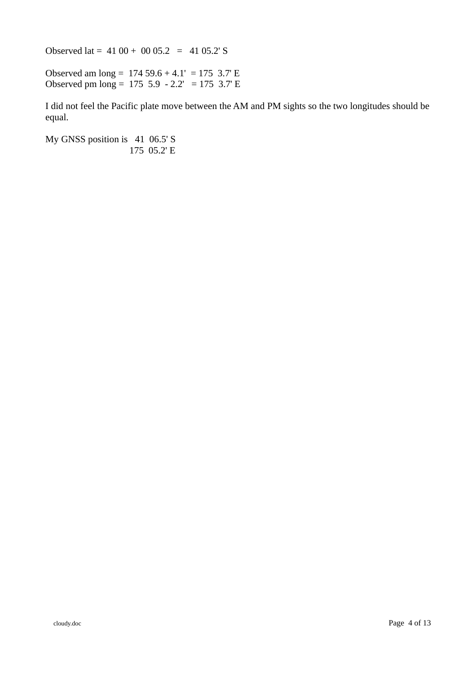Observed lat =  $4100 + 0005.2 = 4105.2$ ' S

Observed am long = 174 59.6 + 4.1' = 175 3.7' E Observed pm long = 175 5.9 - 2.2' = 175 3.7' E

I did not feel the Pacific plate move between the AM and PM sights so the two longitudes should be equal.

My GNSS position is 41 06.5' S 175 05.2' E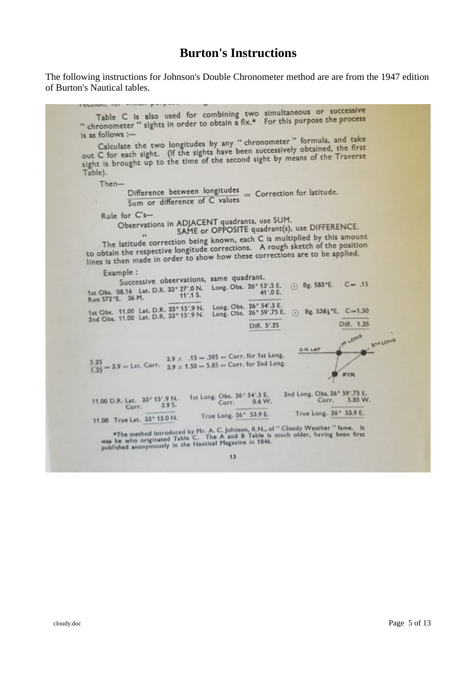#### **Burton's Instructions**

The following instructions for Johnson's Double Chronometer method are are from the 1947 edition of Burton's Nautical tables.



 $13$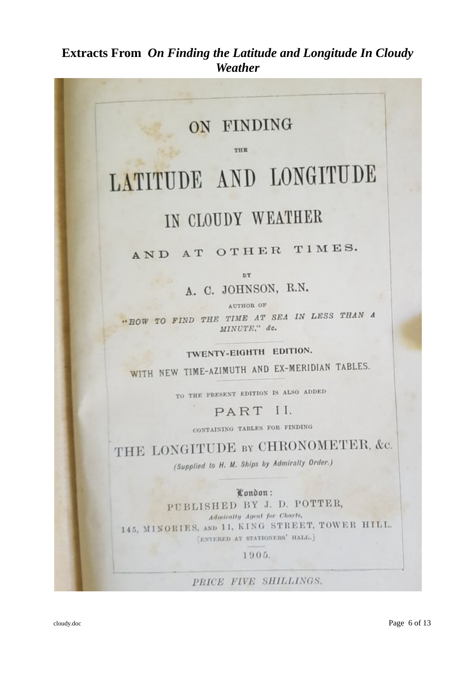### **Extracts From On Finding the Latitude and Longitude In Cloudy Weather**

### ON FINDING

THE

# LATITUDE AND LONGITUDE

# IN CLOUDY WEATHER

AND AT OTHER TIMES.

**DY** A. C. JOHNSON, R.N.

AUTHOR OF "HOW TO FIND THE TIME AT SEA IN LESS THAN A MINUTE," &c.

### TWENTY-EIGHTH EDITION.

WITH NEW TIME-AZIMUTH AND EX-MERIDIAN TABLES.

TO THE PRESENT EDITION IS ALSO ADDED

### PART II.

CONTAINING TABLES FOR FINDING

## THE LONGITUDE BY CHRONOMETER, &c.

(Supplied to H. M. Ships by Admiralty Order.)

London: PUBLISHED BY J. D. POTTER, Admiralty Agent for Charts, 145, MINORIES, AND 11, KING STREET, TOWER HILL. [ENTERED AT STATIONERS' HALL.]

1905.

PRICE FIVE SHILLINGS.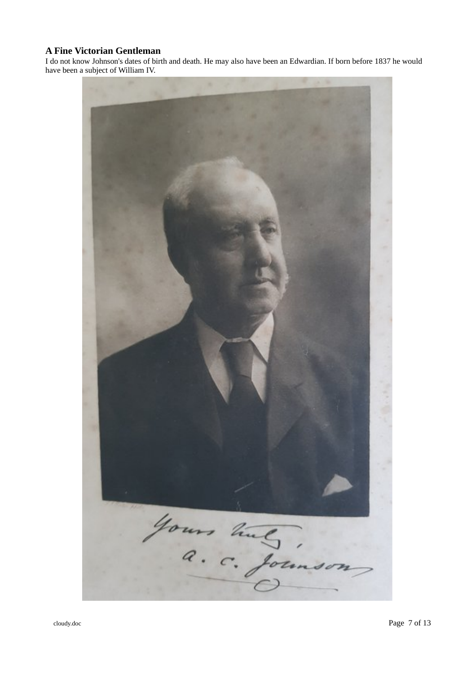#### **A Fine Victorian Gentleman**

I do not know Johnson's dates of birth and death. He may also have been an Edwardian. If born before 1837 he would have been a subject of William IV.

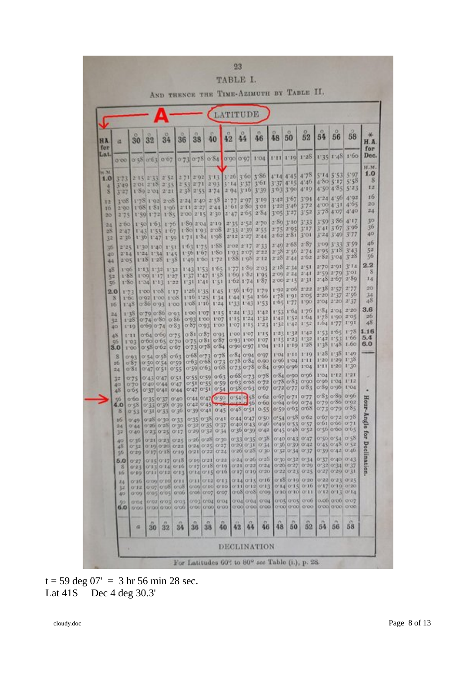|                       |                              |                      |    |                                                                             |                                                                                                                                                                                                     |    |                                                                                                                                                                              | <b>LATITUDE</b> |           |                                   |                                                             |    |                                                                                             |                                                                                                 |                                                                       |                                                                |                                                                      |                            |
|-----------------------|------------------------------|----------------------|----|-----------------------------------------------------------------------------|-----------------------------------------------------------------------------------------------------------------------------------------------------------------------------------------------------|----|------------------------------------------------------------------------------------------------------------------------------------------------------------------------------|-----------------|-----------|-----------------------------------|-------------------------------------------------------------|----|---------------------------------------------------------------------------------------------|-------------------------------------------------------------------------------------------------|-----------------------------------------------------------------------|----------------------------------------------------------------|----------------------------------------------------------------------|----------------------------|
| HA                    | 涯                            | 30                   | 32 | 34                                                                          | 36                                                                                                                                                                                                  | 38 | 40                                                                                                                                                                           | 42              | JJ.<br>44 |                                   | $\overset{\circ}{46}$                                       | 48 | 50                                                                                          | $\frac{6}{52}$                                                                                  | 54                                                                    | o<br>56                                                        | o<br>58                                                              | 黃<br>H.A                   |
| for<br>Lat.           |                              |                      |    |                                                                             | 0.00 0.58 0.63 0.67 0.73 0.78 0.84 0.00 0.97 1.04 1.11 1.19 1.28                                                                                                                                    |    |                                                                                                                                                                              |                 |           |                                   |                                                             |    |                                                                                             |                                                                                                 |                                                                       |                                                                | 1'35 1'48 1'60                                                       | for<br>Dec.                |
| 16.34<br>1.0<br>4     | 3'73                         |                      |    | $2.15$ $2.33$ $2.25$<br>3.46 5.01 5.19 5.32                                 |                                                                                                                                                                                                     |    | 2 71 2 92 3 13 3 26 3 60 3 86 4 14 4 45 4 78<br>2'53 2'71 2'93 3'14 3'37 3'61 3'37 4'15 4'46<br>2 38 2 55 2 74 2 94 3 16 3 39 3 63 3 90 4 19                                 |                 |           |                                   |                                                             |    |                                                                                             |                                                                                                 |                                                                       |                                                                | 5'14 5'53 5'97<br>4'80 5'17 5'58<br>4'50 4'85 5'23                   | н.м.<br>1.0<br>8<br>12     |
| 8<br>12<br>16<br>20   | 3'47<br>1.02<br>2,00<br>2.75 |                      |    | 1.90 5.01 5.31<br>$1.75$ 1.02 $2.08$                                        | 1.68 1.81 1.66 2.11 2.27 2.44 2.61 2.80 3.01<br>1'59 1'72 1'85 2'00 2'15 2'30 2'47 2'65 2'84 3'05 3'27 3'52                                                                                         |    | 224 230 238 277 297 319 332 367 394                                                                                                                                          |                 |           |                                   |                                                             |    | 3'22 3'40 3'72                                                                              |                                                                                                 |                                                                       |                                                                | 4'24 4'50 4'92<br>4'00 4'31 4'05<br>378 4'07 4'40                    | 16<br>20<br>24             |
| 24<br>28<br>32        | 2147                         |                      |    | 1'43 1'55 1'67                                                              | 260 150 163 176 189 204 210 235 232 270 280 310 333<br>2'30 1'30 1'47 1'50 1'71 1'84 1'98 2'12 2'27 2'44                                                                                            |    | 1:80 1:93 2:08 2:33 2:30 2:55 2:75 2:95 3:17                                                                                                                                 |                 |           |                                   |                                                             |    | $262$ $281$ $301$                                                                           |                                                                                                 | 3'24 3'49 3'77                                                        |                                                                | 3'59 3'86 4'17<br>3'41 3'67 3'96                                     | 39<br>3 <sup>b</sup><br>40 |
| 36<br>40<br>44        | 2'25<br>205                  |                      |    | $1.18$ $1.38$ $1.38$                                                        | 1:30 1:40 1:51 1:63 1:75 1:88<br>2'14 1'24 1'34 1'45 1'56 1'67 1'80 1'93 2'07 2'22                                                                                                                  |    | 1'49 1'00 1'72                                                                                                                                                               |                 |           | 202217233<br>$1.28$ $1.92$ $2.13$ |                                                             |    | $2.49$ $2.68$ $2.87$<br>$2^{125}$ $2^{15}$ $2^{17}$<br>$2.28$ $2.44$ $2.62$<br>2.182.342.51 |                                                                                                 |                                                                       |                                                                | 3.09 3.33 3.59<br>2'95 3'18 3'43<br>2'82 3'04 3'28<br>2'70 2'91 3'14 | 46<br>52<br>56<br>$^{2.2}$ |
| 48<br>52<br>56<br>2.0 | 1'06<br>1.88<br>1'73         |                      |    | $1:13$ $1:32$ $1:32$<br>$1'00$ $1'17$ $1'27$<br>$1'80$ $1'04$ $1'13$ $1'22$ | 1'00 1'08 1'17 1'26 1'35 1'45 1'56 1'67 1'79 1'92 2'06 2'22                                                                                                                                         |    | 1:43 1:53 1:05<br>$1.37$ $1.47$ $1.58$<br>$1'31$ 1'41 1'51                                                                                                                   |                 |           |                                   | $177$ $159$ $203$<br>1.00 1.25 1.02<br>$1.62$ $1.74$ $1.87$ |    | $2'09$ $2'24$ $2'41$<br>2.00 2.12 3.31                                                      |                                                                                                 |                                                                       | 2'59 2'79 3'01<br>$2'38$ $2'57$ $2'77$                         | $2'48$ $2'67$ $2'89$                                                 | -8<br>14<br>20             |
| 8<br>10<br>24         | <b>T'bu</b>                  |                      |    | $1.35$ 0.200.200.0.03                                                       | 0.92 1.00 1.08 1.16 1.25 1.34 1.44 1.54 1.66 1.78 1.91 2.05<br>1'48 0'86 0'93 1'00 1'08 1'16 1'24 1'33 1'43 1'53 1'65 1'77 1'90<br>1'28 0'74 0'80 0'86 0'93 1'00 1'07 1'15 1'24 1'32 1'42 1'52 1'64 |    | 1'00 1'07 1'15 1'24 1'33 1'42 1'53 1'64 1'76                                                                                                                                 |                 |           |                                   |                                                             |    |                                                                                             |                                                                                                 | $220$ $237$ $250$<br>2'04 2'20 2'37<br>$1.84$ $2.04$ $2.50$           | 1:78 1:90 2:05                                                 |                                                                      | 34<br>48<br>3.6<br>20      |
| 32<br>40<br>48<br>55  |                              | $1 - 11$<br>1'03     |    | 0.60 0.65 0.70                                                              | 119 069 074 083 087 093 110 1107 115 123 132 142 152<br>064 069 075 081 087 093 100 107 115 123 132 142                                                                                             |    | 075 081 087 093 100 107 115 123 132                                                                                                                                          |                 |           |                                   |                                                             |    |                                                                                             |                                                                                                 |                                                                       | 1.04 1.77 1.91<br>$1.42$ $1.53$ $1.66$                         | 1.5311651178<br>$1.32$ $1.42$ $1.60$                                 | 48<br>1.16<br>5.4<br>6.0   |
| 3.0<br>10<br>24       | 18                           | 0.93<br>0.87<br>0.81 |    | 1'00 0'58 0'62 0'67<br>0.540.580063<br>0.50 0.54 0.59<br>0'47 0'51 0'55     |                                                                                                                                                                                                     |    | 0.73078084090097104111119128<br>0.68 0.73 0.78 0.84 0.94 0.97 1.04 1.11 1.19<br>0.63 0.68 0.73 0.78 0.84 0.90 0.96 1.04 1.11<br>0'59 0'63 0'68 0'73 0'78 0'84 0'90 0'96 1'04 |                 |           |                                   |                                                             |    |                                                                                             |                                                                                                 |                                                                       | $1.25$ $1.35$ $1.40$<br>1'20 1'29 1'38<br>$1'11$ $1'20$ $1'30$ |                                                                      |                            |
|                       | 32<br>40<br>48               |                      |    | 0.75 0.43 0.47 0.51<br>0.70 0.40 0.44 0.47<br>0.02 0.31 0.41 0.44           |                                                                                                                                                                                                     |    | 0.55 0.59 0.63 0.68 0.73 0.78 0.84 0.90 0.96<br>0'51 0'55 0'59 0'63 0'68 0'72 0'78 0'83 0'90<br>0.47 0.51 0.54 0.58 0.63 0.67 0.72 0.77 0.83                                 |                 |           |                                   |                                                             |    |                                                                                             |                                                                                                 | 0'00 1'04 1'12<br>0'50 0'90 1'04                                      | 1.04 1.15 1.51                                                 | o 81 o 89 o 96                                                       | ×                          |
|                       | 50<br>16                     |                      |    | 0.00 0.32 0.33 0.40                                                         | 4.0 0 58 0 33 0 36 0 39 0 42 0 45 0 45 0 45 0 56 0 60 0 64 0 69 0 74<br>0.49 0.28 0.30 0.33 0.35 0.38 0.41 0.44 0.47 0.50 0.54 0.56 0.62                                                            |    | 0.44 0.47 0.50 0.54 0.58 0.62 0.67 0.71 0.77                                                                                                                                 |                 |           |                                   |                                                             |    |                                                                                             |                                                                                                 | 0.670.720.75                                                          | 0.120.2000.00000                                               | 0'79 0'80 0'92                                                       | Ho<br>ş<br>⋗               |
| ٠                     | 24<br>32<br>40<br>48         |                      |    | 0.33 0.10 0.30 0.33                                                         | 0.44 0.36 0.39 0.30 0.35 0.32<br>0.40 0.22 0.52 0.11 0.50 0.35 0.31<br>$0.36$ $0.21$ $0.33$ $0.35$                                                                                                  |    | $0.30$ $0.38$ $0.30$<br>$0'24$ $0'25$ $0'27$                                                                                                                                 |                 |           |                                   |                                                             |    | 0.33 0.32 0.38 0.40 0.43 0.41                                                               | 0.40 0.13 0.40 0.40 0.23 0.21<br>0.30 0.30 0.15 0.12 0.19 0.25<br>0.50 0.31 0.31 0.30 0.30 0.45 | 0'010'00 0'71<br>0.20 0.00 0.02<br>0.42 0.49 0.25                     | 0.0000810.82                                                   |                                                                      | mgle<br>ior                |
|                       | 50<br>5.0<br>в<br>10         |                      |    | 0.30 0.11 0.19 0.10<br>0'27 0'15 0'17 0'18<br>0.10 0.11 0.13 0.13           | 0.53 0.13 0.14 0.10 0.15 0.18 0.10 0.51 0.55 0.57                                                                                                                                                   |    | 0'21 0'22 0'24<br>$0.10$ 0.31 0.33<br>0.14 0.15 0.10 0.11 0.10 0.30 0.35 0.37 0.32                                                                                           |                 |           |                                   | $0.24$ 0.50 0.52                                            |    | 0.20 0.25 0.30 0.32 0.34 0.37                                                               | 0'30 0'32 0'34<br>0'20   0'27   0'29                                                            | 0.30 0.45 0.40<br>0.32 0.40 0.43<br>0.35 0.31 0.31<br>[0'27]0'29]0'31 |                                                                |                                                                      | <b>Declination</b>         |
|                       | 24<br>34<br>49               | 0700                 |    | 0'10 0'09 0'10 0'11<br>0'12 0'07 0'08 0'08<br>o.o?l o.o?l o.op              |                                                                                                                                                                                                     |    | 011 012 013 014 015 016<br>0.00 0.10 0.10 0.11 0.15 0.13 0.14 0.12 0.10 0.15 0.10 0.50<br>0.00 0.01 0.01 0.09 0.09 0.00                                                      |                 |           |                                   |                                                             |    |                                                                                             | 0.12 0.10 0.30<br>0.10 0.10 0.11                                                                | 0.53 0.32 0.32<br>0.15 0.13 0.17                                      |                                                                |                                                                      |                            |
|                       | 50<br>6.0                    | grot<br>000          |    | 0.03 0.03 0.03<br>0000 0000 000                                             |                                                                                                                                                                                                     |    | collocal out [oot] out and [a.ot] a.ot] a.ot] o.o. [org] a.op] a.o.)<br>0.00 0.00 0.00 0.00 0.00 0.00 0.00 0.00 0.00 0.00 0.00                                               |                 |           |                                   |                                                             |    |                                                                                             |                                                                                                 |                                                                       |                                                                |                                                                      |                            |

 $t = 59$  deg 07' = 3 hr 56 min 28 sec. Lat 41S Dec 4 deg 30.3'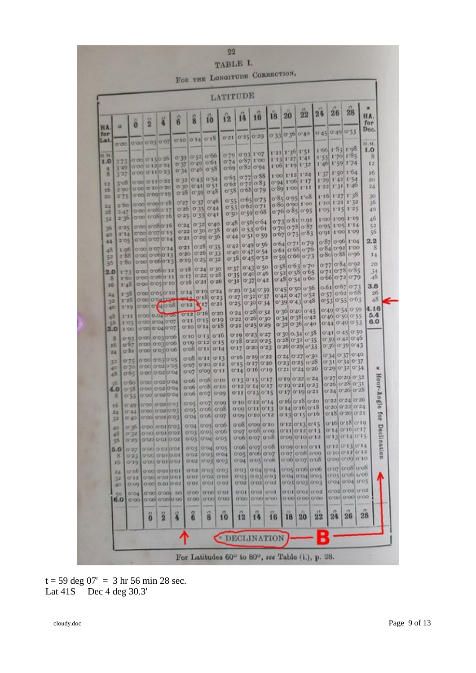|                 |                  |                    |   |                                              |                                      |               |                                              |            | <b>LATITUDE</b>                              |                                  |     |                      |                                                              |                            |            |                                        |                      |
|-----------------|------------------|--------------------|---|----------------------------------------------|--------------------------------------|---------------|----------------------------------------------|------------|----------------------------------------------|----------------------------------|-----|----------------------|--------------------------------------------------------------|----------------------------|------------|----------------------------------------|----------------------|
| <b>HA</b>       | a                | ô                  | 5 |                                              | $\overline{6}$                       | $\frac{6}{8}$ | iô                                           | $\hat{12}$ | í4                                           | 16                               | 18  | 20                   | $\frac{5}{22}$                                               | 24                         | 26         | 28                                     | ٠<br>HA.<br>for      |
| for<br>Lat.     |                  |                    |   | 000003007                                    | $0.10$ $0.14$ $0.18$                 |               |                                              |            | 0'21 0'25 0'29                               |                                  |     |                      | 0'33 0'36 0'40                                               |                            |            | 0.45 0.49 0.53                         | Dec.                 |
| <b>说 38</b>     | 0.000            |                    |   |                                              |                                      |               | $0.36$ $0.25$ $0.69$                         |            | 0.79 0.93 1.07                               |                                  |     | $1.21$ $1.36$ $1.21$ |                                                              |                            |            | $1.66$ $1.83$ $1.98$<br>1:55 1:70 1:85 | $H_2M_3$<br>1.0<br>8 |
| 1.0<br>4        |                  | 3'49 0'00 0'120'24 |   | 373 000 0130 26                              | 0'37                                 |               | 0.40001<br>0'34 0'46 0'58                    |            | 0.74 0.87 1.00<br>0'69 0'82 0'94             |                                  |     | $1.13$ $1.27$ $1.41$ | 1.06 1.10 1.35                                               |                            |            | 1'46 1'59 1'74                         | 12                   |
| 3               | $3 - 27$<br>3.00 |                    |   | $0.00$ 0.11 $0.53$<br>0.00 0.11 0.55         |                                      |               | $0.32$ $0.43$ $0.24$                         |            | $0.65$ 0.77 0.88                             |                                  |     |                      | $1'00$ $1'12$ $1'24$<br>0.94 1.06 1.11                       |                            |            | 1:37 1:50 1:64<br>$1:29$ $1:42$ $1:54$ | 16<br>20             |
| 主菜<br>16<br>20  | 2'75             |                    |   | 2'00 0'00 0'10 0'20<br>0.00 0.00 0.10        |                                      |               | $0.30$ $0.41$ $0.21$<br>$0.58$ $0.30$ $0.48$ |            | $0.62$ 0.72 0.83<br>0.580068079              |                                  |     |                      | 0.89 1.00 1.11                                               |                            |            | 1'22 1'31 1'40<br>$1.16$ $1.27$ $1.38$ | 24<br>30             |
| 24              |                  |                    |   | 2 60 0 00 0 00 0 18                          | 0'27                                 |               | $0.32$ 0.40<br>$0.26$ 0.35 0.44              |            | $0.55$ $0.65$ $0.75$<br>0.530062071          |                                  |     |                      | 0.85095108<br>0.80 0.00 1.00                                 |                            |            | 1:10 1:21 1:32<br>$1.05$ $1.15$ $1.25$ | 3 <sup>6</sup><br>40 |
| 28<br>3#        | $2 - 47$         |                    |   | 0.00 0.05 0.17<br>2:36 0:00 0:08 0:16        |                                      |               | 0.520.3300.41                                |            | 0.50 0.59 0.68<br>$0.48$ $0.26$ $0.04$       |                                  |     |                      | $0.76$ $0.85$ $0.95$<br>0.73 0.81 0.91                       |                            |            | 1'00 1'09 1'19                         | 46                   |
| 36<br>40        | 2'25<br>2.14     |                    |   | 0100 0108 0116<br>0.00 0.01 0.12             | 0'24                                 |               | 0.25 0.40<br>$0'22$ 0'30 0'38                |            | 0'40 0 53 0'61<br>0.440510.59                |                                  |     |                      | 0.70078087<br>$0.67$ 0.75 0.83                               |                            |            | 0'05 1'05 1'14<br>0'91 1'00 1'09       | 52<br>56             |
| 44              | 2105<br>1.00     |                    |   | 0'00 0'07 0'14<br>0'00 0'07 0'14             |                                      |               | 0.31 0.30 0.30<br>$0.21$ $0.28$ $0.35$       |            | $0.45$ 0.49 0.26                             |                                  |     |                      | 0.64 0.71 0.79                                               |                            |            | 0.82000104<br>0'84 0'92 1'00           | $_{2.2}$<br>8        |
| 48<br>52        | 1'88             |                    |   | proof orobjoint3<br>1'80 0'00 0'00 0'13      |                                      |               | $0'20$ 0'20 0'33<br>0.19 0.25 0.32           |            | 0'40 0'47 0'54<br>0.3800450252               |                                  |     |                      | 0.61 0.68 0.76<br>0'59 0'66 0'73                             |                            |            | 0'80 0'88 0.96                         | 14                   |
| 56<br>2.0       | 1.73             |                    |   | 0'00 0'000'12                                |                                      |               | $0.18$ $0.54$ $0.30$<br>$0.17$ $0.52$ $0.52$ |            | 0'37 0'43 0'50<br>$0.35$ $0.40$ $0.40$       |                                  |     |                      | 0.58 0.63 0.70<br>0.5200580065                               |                            |            | 0.77 0.84 0.92<br>071078085            | ΞO<br>34             |
| 18<br>16        | $1 - 48$         |                    |   | 1100 000 000 11<br>0'00 0'05 0'10            |                                      |               | $0.16$ $0.21$ $0.26$                         |            | $0.31$ $0.32$ $0.42$                         |                                  |     |                      | $0.48$ 0.24 $0.00$<br>0'45 0'50 0'56                         |                            |            | 0.66 0.72 0.79<br>$0.61$ 0.67 0.73     | 48<br>3.6            |
| 24<br>32        | $1 - 28$<br>1.38 |                    |   | 0'00 0'05 0'10<br>0.00 0.070                 |                                      |               | 0'14 0'19 0'24<br>$-10'180'23$               |            | 0.50 0.31 0.30<br>$0.27$   $0.35$   $0.32$   |                                  |     |                      | $0'42$ $0'47$ $0'52$<br>0.30 0.42 0.42                       |                            |            | 0.52062068<br>0.53 0.55 0.63           | 26<br>48             |
| 40              |                  |                    |   | 1'10 0'00 0'04 0'08<br>000 0.04 0.00         |                                      |               | $0'12$ (1) $0'21$<br>0'12 0'16 0'20          |            | $0.32$ 0.30 0.34<br>$0.24$ 0.28 0.32         |                                  |     |                      | $0.30$ $0.40$ $0.42$                                         |                            |            | 0'49 0'54 0'59                         | 4.16<br>5,4          |
| 48<br>55<br>3.0 |                  | 111<br>1'0'%       |   | 0.00 0.01 0.01<br>1'00 0'00 0'04 0'07        |                                      |               | $0.11$ 0.12 0.16<br>$0.10$ 0.17 0.12         |            | 0'22 0'20 0'30<br>0'21                       | 0.520                            |     |                      | $0.34$ $0.38$ $0.43$<br>0.35 0.36 0.40                       |                            |            | or46 o'50 o'55<br>0'44 0'49 0'53       | 6.0                  |
|                 | в                |                    |   | 0.03 0.00 0.03 0.00                          |                                      |               | $0.10 \, 0.13 \, 0.10$<br>0'09 0'12 0'15     |            | $0'19$ $0'23$ $0'27$<br>$0'18$ $0'22$ $0'25$ |                                  |     |                      | 0.30 0.34 0.38<br>$0.28$ $0.35$ $0.32$                       |                            |            | 0'41 0'45 0'50<br>$0.30$ $0.45$ $0.40$ |                      |
| 16<br>24        |                  | 0.81<br>0.81       |   | 0.00 0.030.00<br>0.00 0.070.00               |                                      |               | 0.08 0.11 0.14                               |            | $0.12$ 0.50 $0.53$                           |                                  |     |                      | $0.20$ 0.39 $0.33$                                           |                            |            | 0.30 0.30 0.43<br>$0.34$ 0.31 0.40     |                      |
| 37              | 40               |                    |   | 0'75 0'00 0'030'05<br>0.30 0.00 0.03 0.02    |                                      |               | 0.08 0.11 0.13<br>0.01 0.10 0.15             |            | 0.10 0.10 0.55<br>$0.12$ 0.1 $12$ 0.30       |                                  |     |                      | $0.34$ $0.51$ $0.30$<br>$0'23$ 0'25 0'28<br>$0'21$ 0'24 0'20 |                            |            | $0.31$ $0.34$ $0.31$<br>0.500032034    |                      |
|                 | 48               |                    |   | 0.0 0.00 0.00 0.00<br>0.00 0.00 0.05 0.07    |                                      | 0.01          | $0.00$ $0.11$<br>0.00 0.00 0.00              |            | $0.14$ 0.10 0.10<br>$0.13$ 0.12 $0.11$       |                                  |     |                      | 0'19 0'22 0'24                                               |                            |            | 0'27 0'29 0'32                         |                      |
|                 | 55<br>4.0        |                    |   | $0.68$ 0.00 0.05 0.01<br>0.53 0.00 0.03 0.07 |                                      |               | 0.00 0.09 0.10<br>0.00 0.01 0.00             |            | 0.15[0.17]0.11<br>0.11 0.13 0.12             |                                  |     |                      | 0'10 0'21 0'23<br>$0.11$ 0.10 0.51                           |                            |            | 0'20 0'28 0'31<br>0'24 0'20 0'25       |                      |
|                 | ж                |                    |   |                                              | 16 0'40 0'00 0'020'03 0'05 0'07 0'09 |               |                                              |            | $0.10$ 0.15 $0.17$<br>0.00 0.11 0.13         |                                  |     |                      | $0'16$ 0'18 0'20<br>$0.14$ 0.10 0.12                         |                            |            | 0'22 0'24 0'20<br>0.30 0.33 0.31       |                      |
|                 | 24<br>32         |                    |   | 0'44 0'00 0'02 0'03<br>0'40 0'00 0'01 0'03   |                                      |               | 0.02 0.00 0.02<br>oras orob oroy             |            | 0.00 0.10 0.15                               |                                  |     |                      | 0.130.120.10                                                 |                            |            | 0/18 0/20 0/21<br>0.10 0.18 0.10       |                      |
|                 | AD.<br>48        |                    |   | 0.30 0.00 0.01 0.03<br>0.31 0.00 0.01 0.03   |                                      |               | 0'04 0'05 0'06<br>003 005 000                |            | 008 009 010                                  | 0.01 0.09 0.00                   |     |                      | 0.15 0.13 0.12<br>$0'11$ 0'12 0'13                           |                            |            | $0.14$ 0.10 0.11                       |                      |
|                 | 55               |                    |   | 0'29 0'00 0'01 0'02<br>$027$ 0'00 0'01 0'01  |                                      |               | 0.03 0.04 0.02<br>0'03 0'04 0'05             |            |                                              | 0.00 0.01 0.02<br>000 007 008    |     |                      | 0.00 0.10 0.15<br>0.00 0.10 0.11                             |                            |            | 0.130.140.12<br>0.15] 0.13] 0.14       |                      |
|                 | 5.0<br>8         |                    |   | 0.33 0.00 0.01 0.01<br>0'19 0'00 0'01 0'01   |                                      |               | 0.03 0.01 0.07<br>0.03 0.03 0.03             |            |                                              | 0.02 0.00 0.03<br>0'04 0'05 0'00 |     |                      | 0'07 0'08 0'09<br>0'00 0'07 0'08                             |                            |            | 0'10 0'11 0'12<br>0.00 0.00 0.10       |                      |
|                 | 46<br>24         |                    |   | 1001003001010                                |                                      |               | 0.03 0.03 0.03                               |            |                                              | 0.03 0.07 0.07                   |     |                      | 009 000 000                                                  |                            |            | 0.07 0.08 0.08<br>000 000 000          |                      |
|                 | 37<br>40         | 0.00               |   | 0.13 0.00 0.01 0.01<br>0.00 0.01 0.01        |                                      | <b>O'OT</b>   | 0.03 0.03<br>0.01 0.01 0.03                  |            |                                              | 0'03 0'03 0'03<br>0'02 0'02 0'02 |     |                      | 0.04 0.01 0.02<br>0.01 0.03 0.03                             |                            |            | 0'04 0'04 0'05                         |                      |
|                 | 50<br>6.0        | 0'04<br>0700       |   | 0'00 0'00, 00<br>0.00 0.000.00               |                                      | 000<br>0/00   | 0,00 0.01<br>0'00 0'00                       |            |                                              | 0'01 0'01 0'01<br>0'00 0'00 0'00 |     |                      | 0'01 0'02 0'02<br>0'00 0'00 0'00                             |                            |            | 0'02 0'02 0'02<br>00'0 000 000         |                      |
|                 |                  |                    | ő | 2                                            | ŝ                                    | $\ddot{6}$    | $\ddot{\mathbf{a}}$                          |            | $\hat{12}$                                   | $\hat{14}$                       | i'6 | 18                   | 20                                                           | $\overline{2}\overline{2}$ | $\hat{24}$ | $\ddot{26}$                            | 28                   |

 $t = 59 \text{ deg } 07' = 3 \text{ hr } 56 \text{ min } 28 \text{ sec.}$ Lat 41S Dec 4 deg 30.3'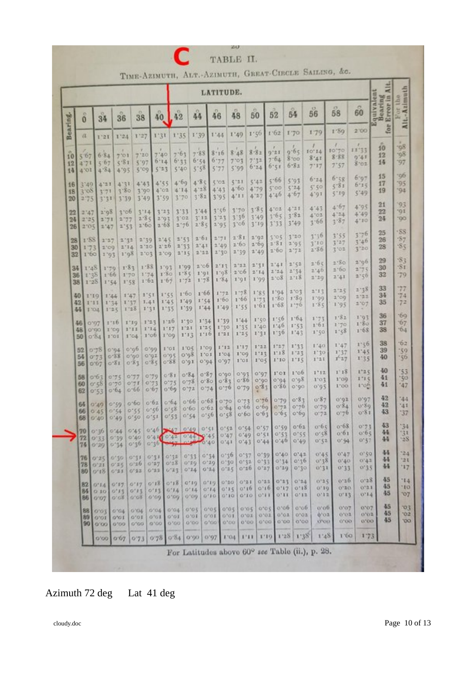|                      |                              |                                               |                              |                                    |                                |                               |                                           |                          |                          | LATITUDE.                              |                            |                                                 |                             |                                |                            |                             |                            | Alt.                                               |                                        |
|----------------------|------------------------------|-----------------------------------------------|------------------------------|------------------------------------|--------------------------------|-------------------------------|-------------------------------------------|--------------------------|--------------------------|----------------------------------------|----------------------------|-------------------------------------------------|-----------------------------|--------------------------------|----------------------------|-----------------------------|----------------------------|----------------------------------------------------|----------------------------------------|
| Bearing.             | $\hat{0}$                    | 34                                            |                              | $\overset{\circ}{36}$              | 38                             | 40                            | $\mathbf{42}$                             | 44                       |                          | 46                                     | 48                         | 50                                              | 52                          | 54                             | 贬<br>56                    | I3.<br>58                   | 60                         | iquivalent<br>Bearing<br>Bearing<br>Error in<br>n. | For the<br>Alt.-Azimuth                |
|                      | (1)                          | 1'21                                          |                              | $1 - 24$                           | 1'27                           | 1.31                          | 1'35                                      | 1'39                     |                          | 1'44                                   | 1'49                       | 1.56                                            | 1.62                        | 170                            | 1.79                       | 1.80                        | 2'00                       | for                                                |                                        |
| 10<br>12             | 5.67<br>4'71                 | 6.84<br>5.07<br>4.84                          |                              | 7703<br>5.81<br>4'95               | 7'20<br>5'97<br>5.00           | 7'40<br>0.14<br>$5 - 3$       | 7.63<br>6.33<br>5'40                      | 7.88<br>6:54<br>5.38     |                          | 8.16<br>6:77<br>5.77                   | 8.48<br>7'03<br>5.00       | 8.81<br>7:32<br>6.24                            | 0.31<br>7.64<br>6.51        | ×<br>9.65<br>8'00<br>6.81      | ı<br>10'14<br>3'41<br>7.17 | F.<br>10.70<br>8.88<br>7'57 | ×<br>11'33<br>0.41<br>8.02 | 10<br>12<br>14                                     | $-98$<br>98<br>'97                     |
| 14<br>16<br>18       | 4'01<br>3749.<br>3.02        | 4783<br>3.71                                  |                              | 4'31<br>3.80                       | 4.43<br>3'90                   | 4'55<br>$4^{\circ}02$         | 4.69<br>4:14<br>3'70                      | 4.85<br>4'28             | 3.82                     | 5'0%<br>4'43<br>3795                   | 5'21<br>4.60<br>4'11       | 5'42<br>4'79<br>4'27                            | 5.66<br>5'00<br>4.46        | 5'93<br>5'24<br>4.67           | 6.24<br>5.50<br>4.91       | $6 - 58$<br>5.81<br>5'19    | 6.01<br>6.15<br>\$'49      | 15<br>17<br>19                                     | 'ob<br>795<br>94'                      |
| 20<br>22<br>24       | 2.75<br>2'47<br>2'25         | 3.31<br>2.08                                  | 2.71                         | 3'39<br>3.06<br>2'77               | 3'49<br>3'14<br>2.85<br>2.60   | 3'59<br>3'23<br>2.103<br>2.58 | 3'33<br>3'02<br>2'76                      |                          | 3'44<br>3'12             | 3:56<br>3'23<br>$2'85$ $2'95$          | 3'70<br>3.36<br>3'00       | $3.85$ $4.02$<br>$3'49$ $3'65$<br>$7'10$ $3'33$ |                             | 4.71<br>3'82<br>3'49           | 4'43<br>4'02<br>3.66       | 4.957<br>4.24<br>7.87       | 4.95<br>4'49<br>4'10'      | 21<br>22<br>24                                     | '93<br>$10^{\circ}$<br>100             |
| 26<br>28<br>30       | 2705<br>1'88<br>1.73         |                                               | 2'47<br>2'27<br>2'09         | 2.53<br>2.142<br>2.14              | 2'39<br>2'20<br>2'01           | 2'45<br>2'20'<br>2'00'        | 2.53<br>2'77<br>2'15                      |                          | 2.61<br>2.41<br>2'22     | 2'71<br>2'40<br>2.70                   | 2.81<br>2.60<br>2'39       | 2'02<br>2.500<br>2'49                           | 5005<br>2'81<br>2.00        | 7'20<br>2.95<br>2.72           | 3.10<br>3'10<br>2.86       | 3'55<br>3'27<br>3'02        | 3'76<br>3.70<br>3'20       | 25<br>26<br>28                                     | $-53$<br>37<br>85                      |
| 32<br>34<br>36<br>38 | 1.00<br>1:48<br>1:38<br>1.28 |                                               | 70'1<br>1.10<br>1.66<br>1.54 | 1.08<br>1.84<br>1.70<br>1'58       | 1:88<br>1'74<br>1.62           | 1'93<br>1'80<br>1.67          | 1,00<br>1.85<br>1.72                      |                          | 2.06<br>$1^{01}$<br>1.78 | 2'13<br>1'08<br>1.84                   | 2'22<br>2706<br>1701       | 2'71<br>2'14<br>1'09                            | 2'41<br>2'24<br>2'08        | 2:52<br>2.14<br>2.18           | $2 - 65$<br>2'40<br>2'20   | 2'80<br>1:60<br>2'41        | 0012<br>2775<br>2'50       | 29<br>30<br>32                                     | $-83$<br>$-ST$<br>'79                  |
|                      | 40<br>42<br>44               | 1'10<br>$1 - 11$<br>1704                      | 1.44<br>1.34<br>1125         | 1'47<br>1.37<br>1'28               | 1.51<br>1.41<br>1'31           | 1.65<br>1'45<br>1.35          |                                           | $1 - 60$<br>1'49<br>1'39 | 1.66<br>1.54<br>1'44     | 1.72<br>1:60<br>1.49                   | 1'78<br>$1 - 66$<br>1.55   | 1785<br>1773<br>1.01                            | 1.94<br>1.80<br>1'68        | 2'02<br>1.80<br>1'76           | 2'17<br>1:09<br>1.85       | 2'25<br>2109<br>1.95        | 2'38<br>2'22<br>2'07<br>14 | 33<br>34<br>35                                     | 177<br>74<br>72                        |
|                      | 46<br>48<br>50               | 0'07<br>0700<br>0.84                          | 1.10<br>I 'OG<br>1'01        | 1'10<br>1'11<br>1'04               | 1'23<br>$1 - 14$<br>$1'$ ob    | 1'00                          | 1.26<br>1.17                              | 1.40<br>1'21<br>1.13     | 1.34<br>1'25<br>1.10     | 1'39<br>1'30<br>1'21                   | 1'44<br>1'35<br>1'25       | 1,50<br>1'40<br>1031                            | 1.50<br>1'40<br>1, 30       | $1 - 6.1$<br>1.53<br>1'43      | 1.1.2<br>1.01<br>1.50      | 1.82<br>1.70<br>1.68        | 1'01<br>1.80<br>1.68       | 36<br>37<br>38                                     | $-69$<br>'67<br>164                    |
|                      | 52<br>54<br>56               | 0.78<br>0.73<br>0707                          | 40'04<br>0.88<br>0.81        | $\partial \phi$ -0<br>O'QO<br>0.81 | 0.001                          | $20'0$ $10'0$<br>0.85         | 1701<br>0.88                              | 1'05<br>60.08<br>0.01    | $1'$ CQ<br>1'01<br>0.04  | $1 - 12$<br>1'04<br>0'97               | 1117<br>1700<br>1001       | 1.22<br>71'17<br>1.01                           | 1.27<br>1'18<br>1'10        | 1'33<br>1'27<br>1'15           | 1'40<br>1'30<br>1'21       | 1.47<br>1'37<br>1'27        | 1, 20<br>1'45<br>1'35      | 38<br>39<br>40                                     | 162<br>'59<br>'56                      |
|                      | 58<br>60<br>62               | 0.01<br>0.58<br>0.53                          | 0.75<br>0'70<br>0.64         | 0.77<br>O'7I<br>0.66               |                                | 0.79<br>0.115<br>0.67         | 0.81<br>0.75<br>0.60                      | 0.84<br>0.78<br>0.72     | 0.87<br>0.80<br>0.74     | op'o<br>0.81<br>0.76                   | 0.01<br>0.86<br>0.10       | 0.01<br>00'0<br>0.81                            | $1'$ OT<br>0.94<br>0.80     | 1.00<br>$2p^{\circ}$ o<br>0.60 | 1712<br>1'0.7<br>0.95      | 1'18<br>1'00<br>1'00        | 1.25<br>1.15<br>1:off      | 40<br>41<br>41                                     | 153<br>'50<br>37                       |
|                      | 64<br>66<br>68               | O(L <sub>2</sub> O)<br>0'45'0'54<br>0'40 0'49 | 0.59                         | 0.55<br>0.50                       | 0.0000002                      | 0.46.                         | 0.64<br>0.58<br>$0.51$ $0.53$ $0.54$      | 0.06<br>0.60             | 0.68<br>0.62<br>0.50     | 0.70<br>0.64<br>0.58                   | 0.73<br>0.06<br>0.00       | 0.176<br>0.61                                   | 0.79<br>$0.60$ 0.13<br>0.05 | 0.81<br>0.76<br>0.00           | 0.87<br>0'79<br>0.72       | 0.01<br>0.84<br>0.76        | 0'97<br>0.80<br>0.81       | 42<br>42<br>43                                     | 144<br>$-41$<br>37                     |
|                      | 72033                        | 70 036<br>74029                               | 0.44<br>9.39<br>0.34         | 0.45<br>04'0<br>0.30               |                                | 0.30                          | $0.46$ $247$ $0.49$ $0.51$<br>044 042 044 |                          |                          | 0.52<br>0.45047<br>0'40 0'41           | 0.54<br>0.49<br>0.43       | 0.57<br>0.51<br>0.44                            | 0.63<br>0.40                | 0.590062<br>0.55<br>0'49       | 0.65<br>0.58<br>0.52       | 0.68<br>0.01<br>0.94        | 0.73<br>0.05<br>0.57       | 43<br>44<br>44                                     | 34<br>131<br>12S                       |
|                      |                              | 76025<br>$78$ $0'21$<br>$80$ 0'18             | 0.30<br>0.25<br>0.21         |                                    | 0.31<br>0.30<br>0.22           | 0.31<br>0'27<br>0.22          | 0.117<br>0.72<br>0.23                     | 0.111<br>0'20<br>0.74    | 0.39                     | $0.34$ $0.36$<br>0.10<br>$0'24$ $0'25$ | 0.37<br>0'32<br>0.16       | 0'39<br>0'33<br>0'27                            | $0*0$<br>0.34<br>0.39       | 0.41<br>0.10<br>0.30           | 0.45<br>0.38<br>0.31       | 0.47<br>0.40<br>0.33        | 0.50<br>0.42<br>0.35       | 44<br>44<br>44                                     | 124<br>72 E<br>'17                     |
|                      | 82<br>84                     | 0.14<br>010<br>86 0107                        | 0.17<br>0.08                 | 0.113.1                            | 0.17<br>0.113<br>0.08          | 0.18<br>0'13.<br>0.09         | 0.18<br>0.14<br>o'on                      | 0119<br>0.14<br>0'00'    | 0.19<br>0.14             | 0.10<br>0'15<br>0'10'0'10'             | 0'21<br>0.10<br>0'10'      | 0.111<br>0.10<br>0'11                           | 0.711<br>0'17<br>0.11       | 0'24<br>0.18<br>0112           | 0.125<br>0.10<br>0.117     | 0.30<br>0,70<br>0.13        | 0.38<br>0.11<br>0.14       | 45<br>45<br>48                                     | 114<br>$10^{11}$<br>'07                |
|                      | 88<br>89<br>90               | oroz<br>0703<br>0,00                          |                              | 0.04<br>o'or<br>6700               | 0 <sub>N</sub><br>0'01<br>0'00 | 0704<br>0'01<br>0'00          | 0.04<br>O'OI<br>00'0                      | 0.05<br>10'01<br>0'00    | 0.05<br>0'01<br>07003    | 0.016<br>0.911                         | 0.05<br>0.017<br>0'00 0'00 | 0.05<br>0.01<br>0'00'                           | 0.00<br>0.01<br>0'00        | 0 <sup>0</sup><br>0.03<br>0.00 | 0.06<br>0.02<br>o'oo       | 0707<br>ECI'O<br>0,00       | 0'07<br>0'02<br>0'00       | 45<br>45<br>45                                     | $\sigma_3$<br>$\sqrt{2}$<br><b>'OO</b> |
|                      |                              |                                               | $0'00$ $0'07$                |                                    | 0.73                           | 0.18                          | 0.84                                      | 0.00                     | 0.01                     |                                        | 1'11<br>1.001              | 1'10.                                           | $1 - 28$                    | 1'38                           | 1'48                       | 1.00                        | $1 - 73$                   |                                                    |                                        |

 $20$ 

TABLE II.

C.

Azimuth 72 deg Lat 41 deg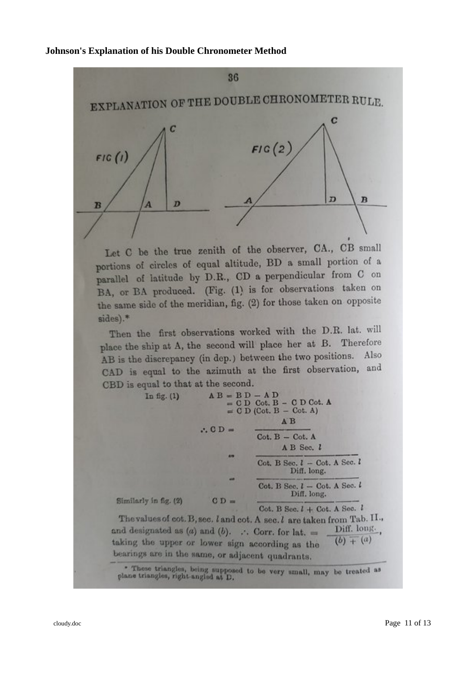**Johnson's Explanation of his Double Chronometer Method**



Let C be the true zenith of the observer, CA., CB small portions of circles of equal altitude, BD a small portion of a parallel of latitude by D.R., CD a perpendicular from C on BA, or BA produced. (Fig. (1) is for observations taken on the same side of the meridian, fig. (2) for those taken on opposite sides).\*

Then the first observations worked with the D.R. lat. will place the ship at A, the second will place her at B. Therefore AB is the discrepancy (in dep.) between the two positions. Also CAD is equal to the azimuth at the first observation, and CBD is equal to that at the second.



 $^\circ$  These triangles, being supposed to be very small, may be treated as plane triangles, right-angled at D.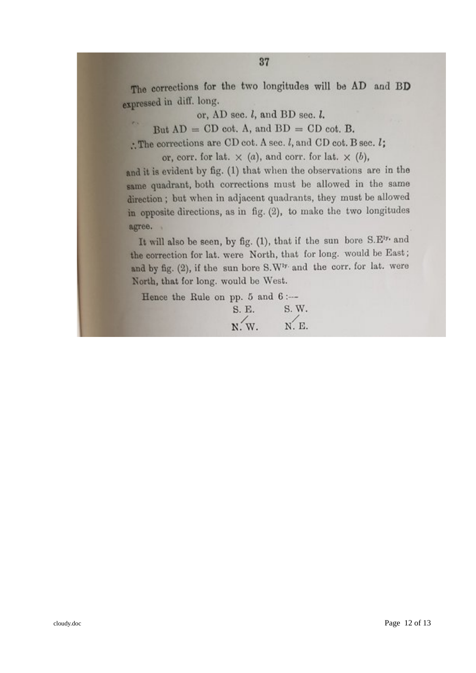The corrections for the two longitudes will be AD and BD expressed in diff. long.

or, AD sec.  $l$ , and BD sec.  $l$ .

But  $AD = CD$  cot. A, and  $BD = CD$  cot. B.

: The corrections are CD cot. A sec.  $l$ , and CD cot. B sec.  $l$ ;

or, corr. for lat.  $\times$  (a), and corr. for lat.  $\times$  (b),

and it is evident by fig. (1) that when the observations are in the same quadrant, both corrections must be allowed in the same direction; but when in adjacent quadrants, they must be allowed in opposite directions, as in fig. (2), to make the two longitudes agree.

It will also be seen, by fig. (1), that if the sun bore S.E<sup>17</sup> and the correction for lat. were North, that for long. would be East; and by fig. (2), if the sun bore S. W<sup>17</sup> and the corr. for lat. were North, that for long. would be West.

Hence the Rule on pp. 5 and  $6:$ --

| S. E. | S. W. |
|-------|-------|
| N.W.  | N. E. |
|       |       |